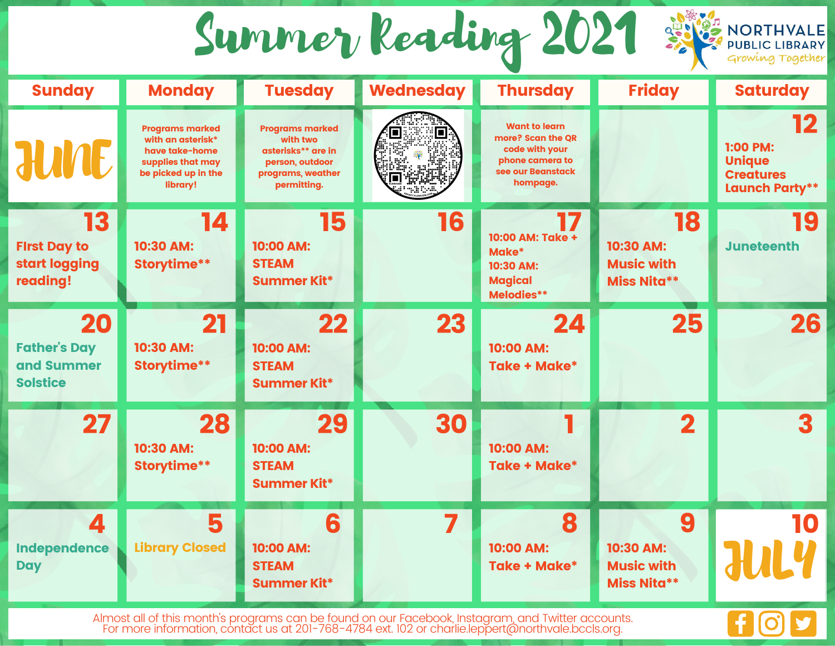Summer Reading 2021

| <b>Sunday</b>                                              | <b>Monday</b>                                                                                                         | <b>Tuesday</b>                                                                                                  | <b>Wednesday</b> | <b>Thursday</b>                                                                                                 | <b>Friday</b>                                              | <b>Saturday</b>                                                       |
|------------------------------------------------------------|-----------------------------------------------------------------------------------------------------------------------|-----------------------------------------------------------------------------------------------------------------|------------------|-----------------------------------------------------------------------------------------------------------------|------------------------------------------------------------|-----------------------------------------------------------------------|
| <b>JUNE</b>                                                | <b>Programs marked</b><br>with an asterisk*<br>have take-home<br>supplies that may<br>be picked up in the<br>library! | <b>Programs marked</b><br>with two<br>asterisks** are in<br>person, outdoor<br>programs, weather<br>permitting. | $\blacksquare$   | <b>Want to learn</b><br>more? Scan the OR<br>code with your<br>phone camera to<br>see our Beanstack<br>hompage. |                                                            | 12<br>1:00 PM:<br><b>Unique</b><br><b>Creatures</b><br>Launch Party** |
| 13<br><b>First Day to</b><br>start logging<br>reading!     | 14<br>10:30 AM:<br><b>Storytime**</b>                                                                                 | 15<br>10:00 AM:<br><b>STEAM</b><br>Summer Kit*                                                                  | 16               | 10:00 AM: Take +<br>Make*<br>10:30 AM:<br><b>Magical</b><br>Melodies**                                          | 18<br>10:30 AM:<br><b>Music with</b><br><b>Miss Nita**</b> | 19<br><b>Juneteenth</b>                                               |
| 20<br><b>Father's Day</b><br>and Summer<br><b>Solstice</b> | 21<br>10:30 AM:<br><b>Storytime**</b>                                                                                 | 22<br>10:00 AM:<br><b>STEAM</b><br>Summer Kit*                                                                  | 23               | 24<br>10:00 AM:<br><b>Take + Make*</b>                                                                          | 25                                                         | 26                                                                    |
| 27                                                         | 28<br>10:30 AM:<br><b>Storytime**</b>                                                                                 | 29<br>10:00 AM:<br><b>STEAM</b><br>Summer Kit*                                                                  | 30               | 10:00 AM:<br><b>Take + Make*</b>                                                                                | $\overline{\mathbf{2}}$                                    | 3                                                                     |
| $\blacktriangle$<br>Independence<br><b>Day</b>             | 5<br><b>Library Closed</b>                                                                                            | 6<br>10:00 AM:<br><b>STEAM</b><br><b>Summer Kit*</b>                                                            | 7                | 8<br>10:00 AM:<br><b>Take + Make*</b>                                                                           | 9<br>10:30 AM:<br><b>Music with</b><br><b>Miss Nita**</b>  | 10<br><b>JUL</b>                                                      |

Almost all of this month's programs can be found on our Facebook, Instagram, and Twitter accounts. For more information, contact us at 201-768-4784 ext. 102 or charlie.leppert@northvale.bccls.org.

f